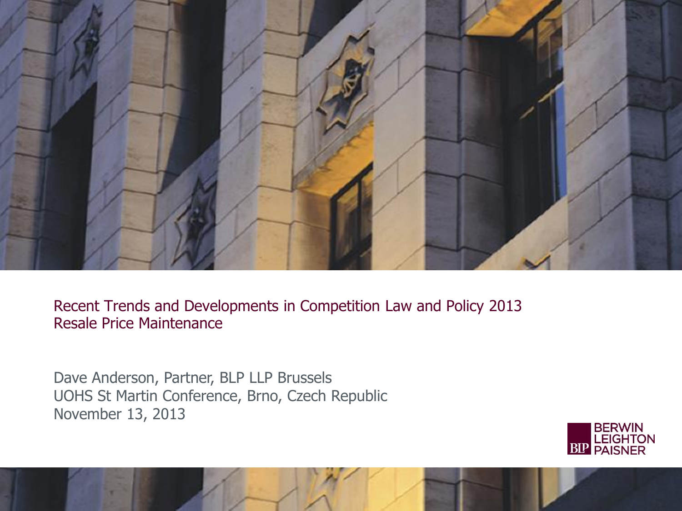

Recent Trends and Developments in Competition Law and Policy 2013 Resale Price Maintenance

Dave Anderson, Partner, BLP LLP Brussels UOHS St Martin Conference, Brno, Czech Republic November 13, 2013

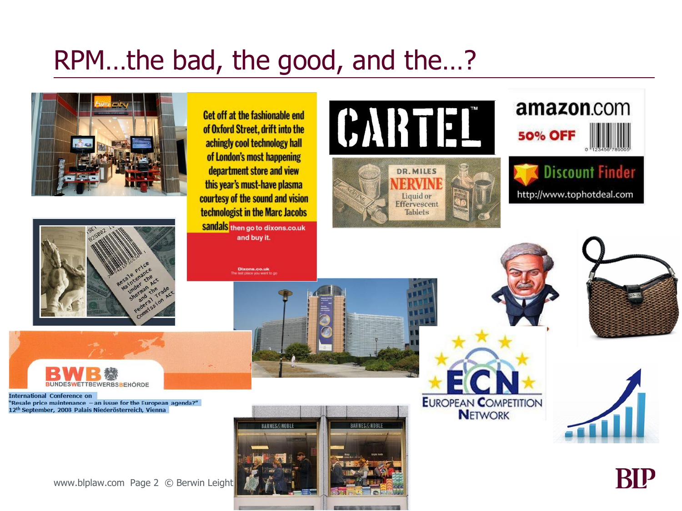### RPM…the bad, the good, and the…?





Get off at the fashionable end of Oxford Street, drift into the achingly cool technology hall of London's most happening department store and view this year's must-have plasma courtesy of the sound and vision technologist in the Marc Jacobs

Sandals then go to dixons.co.uk and buy it.

Dixons.co.uk









**BUNDESWETTBEWERBSBEHÖRDE** 

**International Conference on** "Resale price maintenance - an issue for the European agenda?" 12<sup>th</sup> September, 2008 Palais Niederösterreich, Vienna

www.blplaw.com Page 2 © Berwin Leight



**EUROPEAN COMPETITION NETWORK** 



BĽ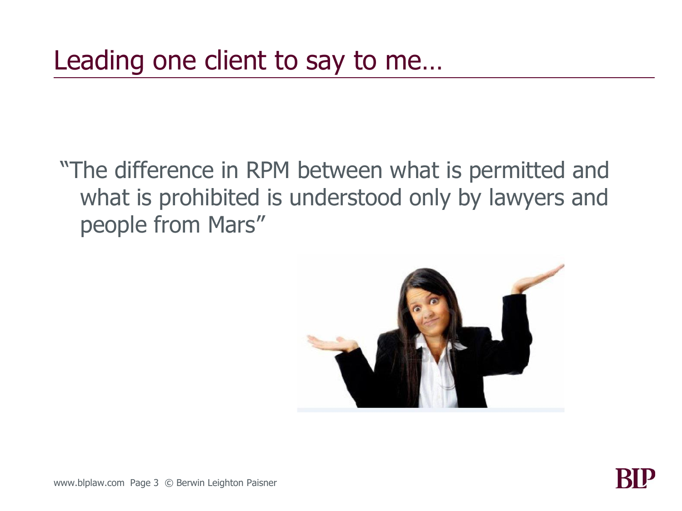"The difference in RPM between what is permitted and what is prohibited is understood only by lawyers and people from Mars"

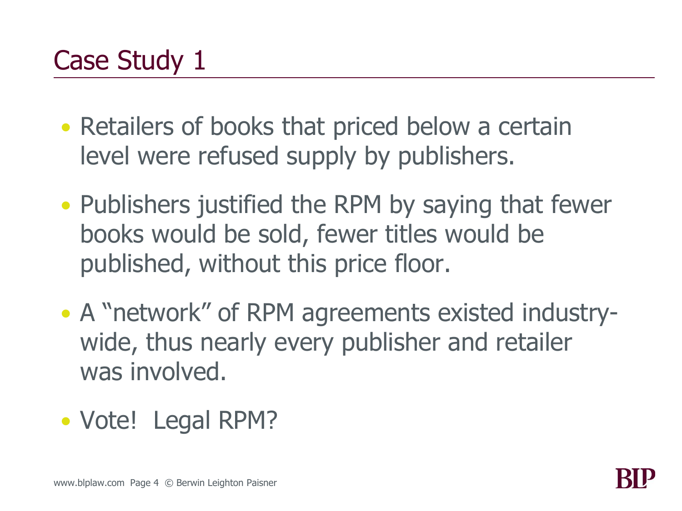- Retailers of books that priced below a certain level were refused supply by publishers.
- Publishers justified the RPM by saying that fewer books would be sold, fewer titles would be published, without this price floor.
- A "network" of RPM agreements existed industrywide, thus nearly every publisher and retailer was involved.
- Vote! Legal RPM?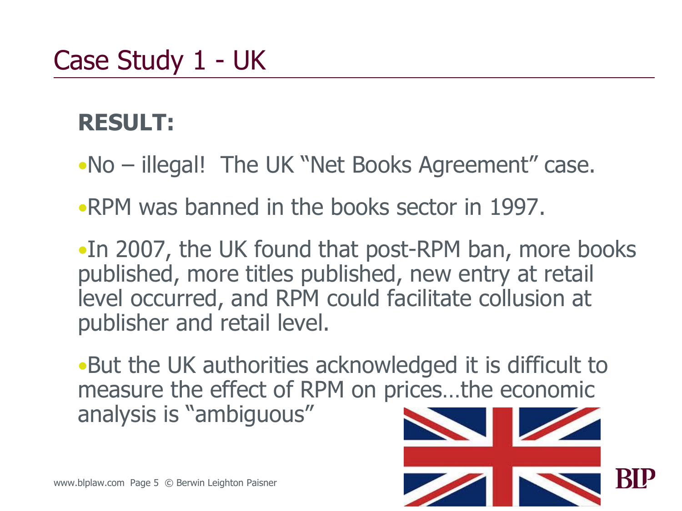### **RESULT:**

- •No illegal! The UK "Net Books Agreement" case.
- •RPM was banned in the books sector in 1997.

•In 2007, the UK found that post-RPM ban, more books published, more titles published, new entry at retail level occurred, and RPM could facilitate collusion at publisher and retail level.

•But the UK authorities acknowledged it is difficult to measure the effect of RPM on prices…the economic analysis is "ambiguous"

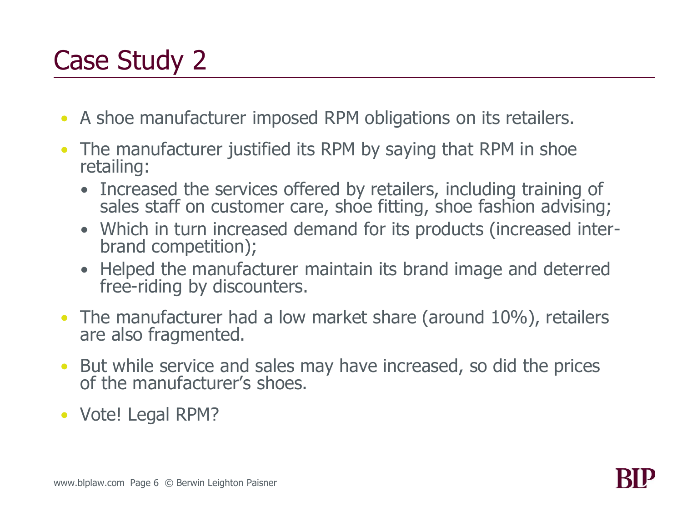- A shoe manufacturer imposed RPM obligations on its retailers.
- The manufacturer justified its RPM by saying that RPM in shoe retailing:
	- Increased the services offered by retailers, including training of sales staff on customer care, shoe fitting, shoe fashion advising;
	- Which in turn increased demand for its products (increased interbrand competition);
	- Helped the manufacturer maintain its brand image and deterred free-riding by discounters.
- The manufacturer had a low market share (around 10%), retailers are also fragmented.
- But while service and sales may have increased, so did the prices of the manufacturer's shoes.
- Vote! Legal RPM?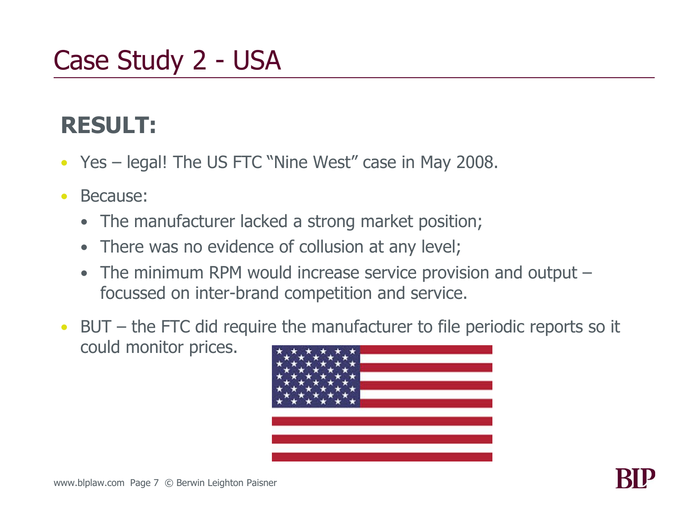### Case Study 2 - USA

### **RESULT:**

- Yes legal! The US FTC "Nine West" case in May 2008.
- Because:
	- The manufacturer lacked a strong market position;
	- There was no evidence of collusion at any level;
	- The minimum RPM would increase service provision and output focussed on inter-brand competition and service.
- BUT the FTC did require the manufacturer to file periodic reports so it could monitor prices.

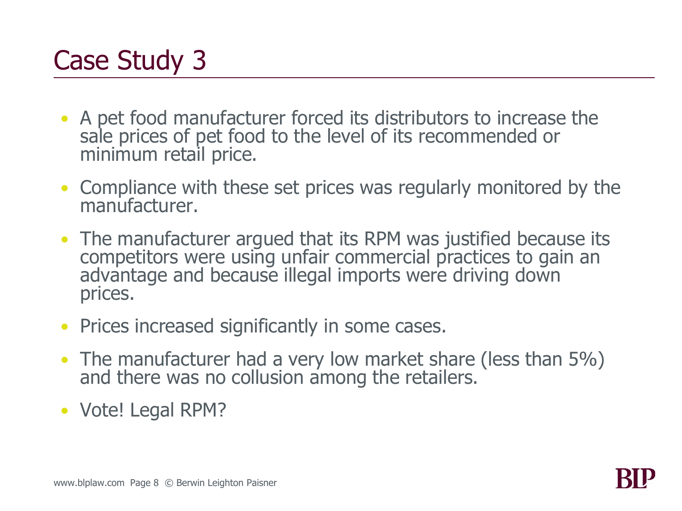- A pet food manufacturer forced its distributors to increase the sale prices of pet food to the level of its recommended or minimum retail price.
- Compliance with these set prices was regularly monitored by the manufacturer.
- The manufacturer argued that its RPM was justified because its competitors were using unfair commercial practices to gain an advantage and because illegal imports were driving down prices.
- Prices increased significantly in some cases.
- The manufacturer had a very low market share (less than 5%) and there was no collusion among the retailers.
- Vote! Legal RPM?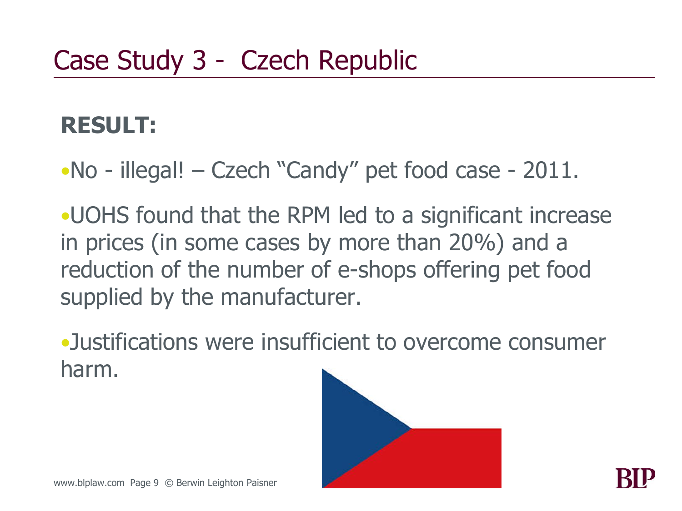### **RESULT:**

•No - illegal! – Czech "Candy" pet food case - 2011.

•UOHS found that the RPM led to a significant increase in prices (in some cases by more than 20%) and a reduction of the number of e-shops offering pet food supplied by the manufacturer.

•Justifications were insufficient to overcome consumer harm.

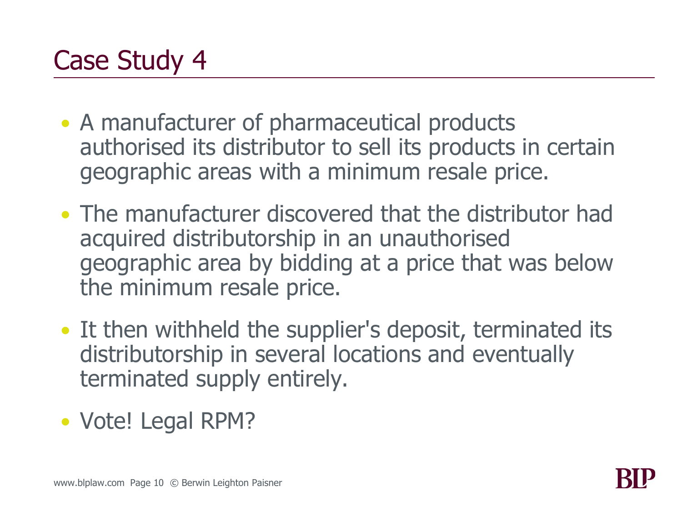- A manufacturer of pharmaceutical products authorised its distributor to sell its products in certain geographic areas with a minimum resale price.
- The manufacturer discovered that the distributor had acquired distributorship in an unauthorised geographic area by bidding at a price that was below the minimum resale price.
- It then withheld the supplier's deposit, terminated its distributorship in several locations and eventually terminated supply entirely.
- Vote! Legal RPM?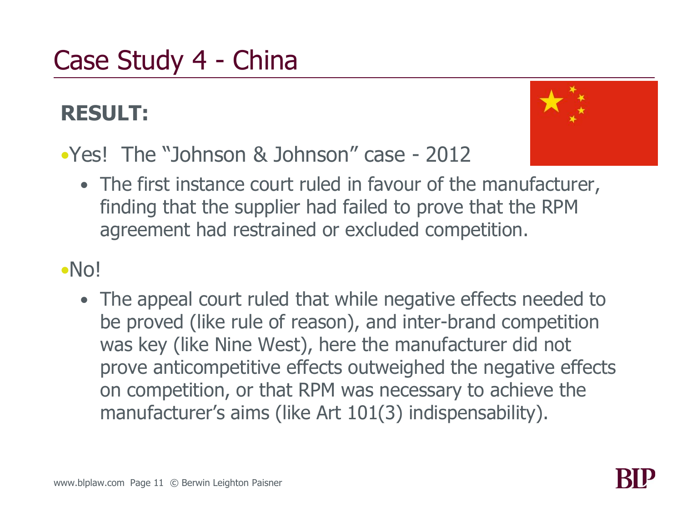### Case Study 4 - China

#### **RESULT:**



- •Yes! The "Johnson & Johnson" case 2012
	- The first instance court ruled in favour of the manufacturer, finding that the supplier had failed to prove that the RPM agreement had restrained or excluded competition.

#### •No!

• The appeal court ruled that while negative effects needed to be proved (like rule of reason), and inter-brand competition was key (like Nine West), here the manufacturer did not prove anticompetitive effects outweighed the negative effects on competition, or that RPM was necessary to achieve the manufacturer's aims (like Art 101(3) indispensability).